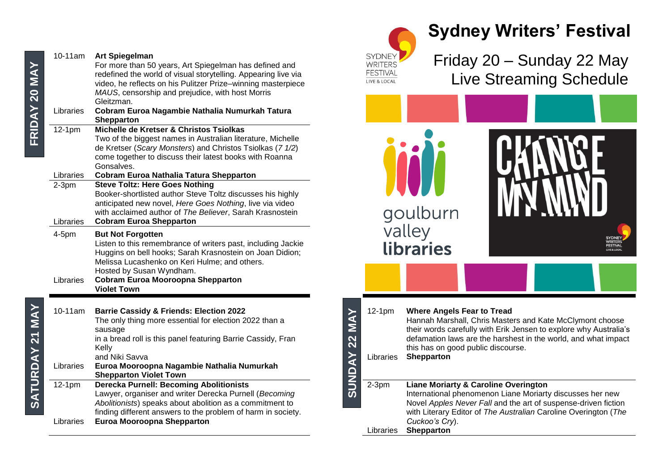| FRIDAY 20 MA`          | 10-11am<br>Libraries  | <b>Art Spiegelman</b><br>For more than 50 years, Art Spiegelman has defined and<br>redefined the world of visual storytelling. Appearing live via<br>video, he reflects on his Pulitzer Prize-winning masterpiece<br>MAUS, censorship and prejudice, with host Morris<br>Gleitzman.<br>Cobram Euroa Nagambie Nathalia Numurkah Tatura<br><b>Shepparton</b> |
|------------------------|-----------------------|------------------------------------------------------------------------------------------------------------------------------------------------------------------------------------------------------------------------------------------------------------------------------------------------------------------------------------------------------------|
|                        | $12-1pm$<br>Libraries | Michelle de Kretser & Christos Tsiolkas<br>Two of the biggest names in Australian literature, Michelle<br>de Kretser (Scary Monsters) and Christos Tsiolkas (7 1/2)<br>come together to discuss their latest books with Roanna<br>Gonsalves.<br><b>Cobram Euroa Nathalia Tatura Shepparton</b>                                                             |
|                        | $2-3pm$<br>Libraries  | <b>Steve Toltz: Here Goes Nothing</b><br>Booker-shortlisted author Steve Toltz discusses his highly<br>anticipated new novel, Here Goes Nothing, live via video<br>with acclaimed author of The Believer, Sarah Krasnostein<br><b>Cobram Euroa Shepparton</b>                                                                                              |
|                        | $4-5$ pm<br>Libraries | <b>But Not Forgotten</b><br>Listen to this remembrance of writers past, including Jackie<br>Huggins on bell hooks; Sarah Krasnostein on Joan Didion;<br>Melissa Lucashenko on Keri Hulme; and others.<br>Hosted by Susan Wyndham.<br><b>Cobram Euroa Mooroopna Shepparton</b><br><b>Violet Town</b>                                                        |
| <b>SATURDAY 21 MAY</b> | 10-11am<br>Libraries  | <b>Barrie Cassidy &amp; Friends: Election 2022</b><br>The only thing more essential for election 2022 than a<br>sausage<br>in a bread roll is this panel featuring Barrie Cassidy, Fran<br>Kellv<br>and Niki Savva<br>Euroa Mooroopna Nagambie Nathalia Numurkah<br><b>Shepparton Violet Town</b>                                                          |
|                        | $12-1pm$<br>Libraries | <b>Derecka Purnell: Becoming Abolitionists</b><br>Lawyer, organiser and writer Derecka Purnell (Becoming<br>Abolitionists) speaks about abolition as a commitment to<br>finding different answers to the problem of harm in society.<br><b>Euroa Mooroopna Shepparton</b>                                                                                  |